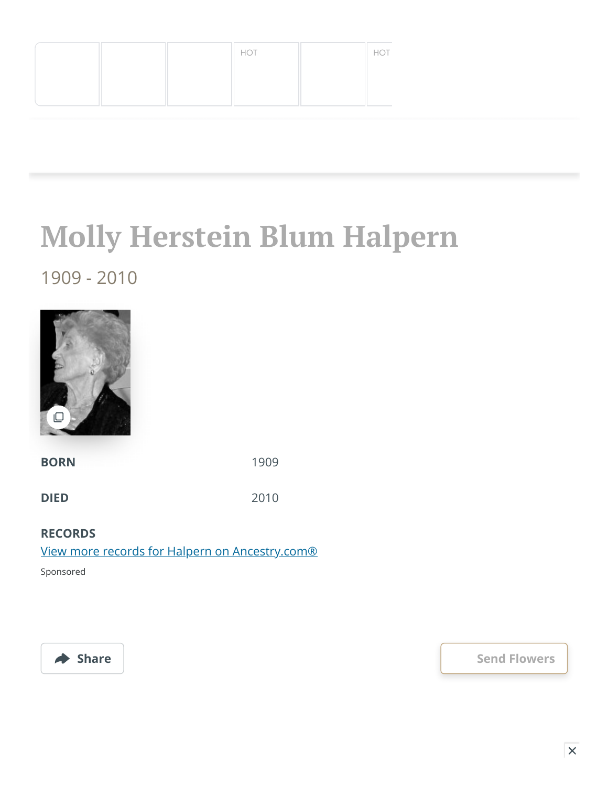|  | HOT | HOT  |
|--|-----|------|
|  |     |      |
|  |     | ____ |

**Molly Herstein Blum Halpern**

## 1909 - 2010



**BORN** 1909

**DIED** 2010

## **RECORDS**

[View more records for Halpern on Ancestry.com®](https://adclick.g.doubleclick.net/pcs/click?xai=AKAOjsv3DWu5WB6VpCSFUp4-j3WDbsuyDpEVABQyEnr1JZBFJJNWNLKxYISfCIQZjyThalJy-lCXHPjILSdYaikYqTFJKUZ9mEroHWV_NKZ2XWjdjT1NgwsYBdQDYaaJZaVGgdHUI9gUjO8iD_lNE3uPNsnKiLbGX7E6B2MfkQuTNiVrTRHb6cKhiZ-lXYueLPjyM92nqhl2kDxLcSE_Zu_PAOr6ADno1vrCO97Rgt4786eW7yBMbR8lhsnO2ykKML-QBAuKEQHoca-Y703ZnSVclYf3uTM5LnS1QP6MIXopN61c214_hgMa3BHzI9Z5Ho74JNtB-54lPHyKXOarOqEqPRbfNDWpZ0lj&sig=Cg0ArKJSzNIMJLAQ4KmcEAE&fbs_aeid=[gw_fbsaeid]&urlfix=1&adurl=https://prf.hn/click/camref:1101l3yjc/adref:81298/destination:https://www.ancestry.com/cs/partner-records%3FflowId%3DpartnersBirth%26gsfn%3DMolly%26gsln%3DHalpern)

Sponsored



◆ Share **Share Share Share [Send Flowers](https://sympathy.legacy.com/en-us/funeral-flowers/name/molly-halpern-funeral-flowers/p146245681/?affiliateId=1473&pm=205)**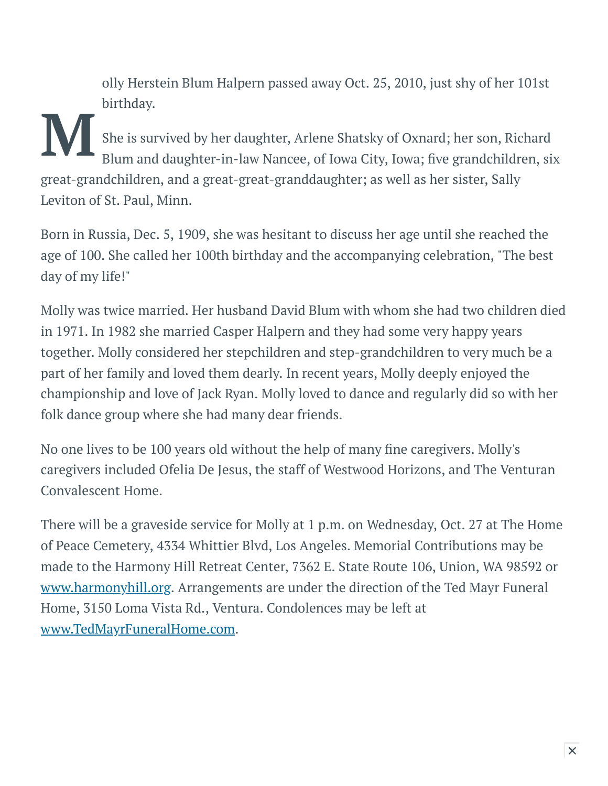olly Herstein Blum Halpern passed away Oct. 25, 2010, just shy of her 101st birthday.

 $\sum$  sh She is survived by her daughter, Arlene Shatsky of Oxnard; her son, Richard Blum and daughter-in-law Nancee, of Iowa City, Iowa; five grandchildren, six great-grandchildren, and a great-great-granddaughter; as well as her sister, Sally Leviton of St. Paul, Minn.

Born in Russia, Dec. 5, 1909, she was hesitant to discuss her age until she reached the age of 100. She called her 100th birthday and the accompanying celebration, "The best day of my life!"

Molly was twice married. Her husband David Blum with whom she had two children died in 1971. In 1982 she married Casper Halpern and they had some very happy years together. Molly considered her stepchildren and step-grandchildren to very much be a part of her family and loved them dearly. In recent years, Molly deeply enjoyed the championship and love of Jack Ryan. Molly loved to dance and regularly did so with her folk dance group where she had many dear friends.

No one lives to be 100 years old without the help of many fine caregivers. Molly's caregivers included Ofelia De Jesus, the staff of Westwood Horizons, and The Venturan Convalescent Home.

There will be a graveside service for Molly at 1 p.m. on Wednesday, Oct. 27 at The Home of Peace Cemetery, 4334 Whittier Blvd, Los Angeles. Memorial Contributions may be made to the Harmony Hill Retreat Center, 7362 E. State Route 106, Union, WA 98592 or [www.harmonyhill.org](http://www.harmonyhill.org/). Arrangements are under the direction of the Ted Mayr Funeral Home, 3150 Loma Vista Rd., Ventura. Condolences may be left at [www.TedMayrFuneralHome.com.](http://www.tedmayrfuneralhome.com/)